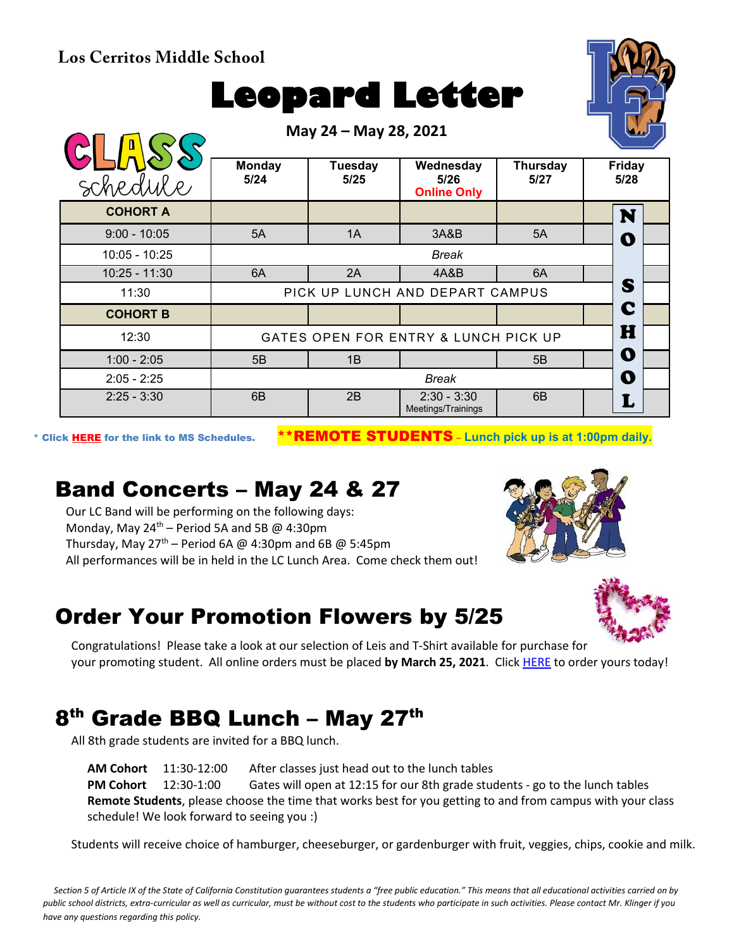**Los Cerritos Middle School**

# **Leopard Letter**

**May 24 – May 28, 2021 Monday Tuesday Wednesday Thursday Friday**  schedule **5/24 5/28 5/25 5/26 5/27 Online Only COHORT A** N 9:00 - 10:05 | 5A | 1A | 3A&B | 5A | |∩ O 10:05 - 10:25 *Break* 10:25 - 11:30 | 6A | 2A | 4A&B | 6A S 11:30 | PICK UP LUNCH AND DEPART CAMPUS C **COHORT B** H 12:30 GATES OPEN FOR ENTRY & LUNCH PICK UP O 1:00 - 2:05  $\begin{array}{|c|c|c|c|c|c|} \hline \end{array}$  5B  $\begin{array}{|c|c|c|c|c|c|} \hline \end{array}$  5B  $\begin{array}{|c|c|c|c|c|c|} \hline \end{array}$ 2:05 - 2:25 *Break* O 2:25 - 3:30 6B 2B 2:30 - 3:30<br>Meetings/Trainings  $6B$   $\vert$   $\vert$   $\mathbf{L}$ 

\* Click [HERE](https://www.conejousd.org/Portals/0/Middle%20School%20Monthly%20Calendar%20_FNLl.pdf?ver=2020-11-04-105638-860) for the link to MS Schedules. \*\*REMOTE STUDENTS – **Lunch pick up is at 1:00pm daily.**

### Band Concerts – May 24 & 27

Our LC Band will be performing on the following days: Monday, May  $24^{th}$  – Period 5A and 5B @ 4:30pm Thursday, May  $27<sup>th</sup>$  – Period 6A @ 4:30pm and 6B @ 5:45pm All performances will be in held in the LC Lunch Area. Come check them out!

#### Order Your Promotion Flowers by 5/25

Congratulations! Please take a look at our selection of Leis and T-Shirt available for purchase for your promoting student. All online orders must be placed **by March 25, 2021**. Click [HERE](https://www.thecommencementgroup.com/lcms/) to order yours today!

## 8<sup>th</sup> Grade BBQ Lunch – May 27<sup>th</sup>

All 8th grade students are invited for a BBQ lunch.

**AM Cohort** 11:30-12:00 After classes just head out to the lunch tables **PM Cohort** 12:30-1:00 Gates will open at 12:15 for our 8th grade students - go to the lunch tables **Remote Students**, please choose the time that works best for you getting to and from campus with your class schedule! We look forward to seeing you :)

Students will receive choice of hamburger, cheeseburger, or gardenburger with fruit, veggies, chips, cookie and milk.

*Section 5 of Article IX of the State of California Constitution guarantees students a "free public education." This means that all educational activities carried on by public school districts, extra-curricular as well as curricular, must be without cost to the students who participate in such activities. Please contact Mr. Klinger if you have any questions regarding this policy.*